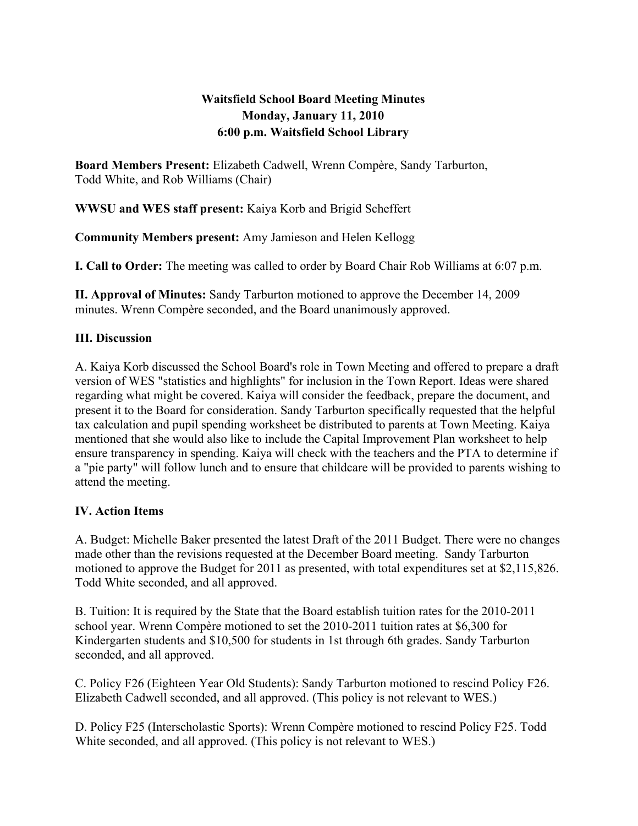# **Waitsfield School Board Meeting Minutes Monday, January 11, 2010 6:00 p.m. Waitsfield School Library**

**Board Members Present:** Elizabeth Cadwell, Wrenn Compère, Sandy Tarburton, Todd White, and Rob Williams (Chair)

**WWSU and WES staff present:** Kaiya Korb and Brigid Scheffert

**Community Members present:** Amy Jamieson and Helen Kellogg

**I. Call to Order:** The meeting was called to order by Board Chair Rob Williams at 6:07 p.m.

**II. Approval of Minutes:** Sandy Tarburton motioned to approve the December 14, 2009 minutes. Wrenn Compère seconded, and the Board unanimously approved.

## **III. Discussion**

A. Kaiya Korb discussed the School Board's role in Town Meeting and offered to prepare a draft version of WES "statistics and highlights" for inclusion in the Town Report. Ideas were shared regarding what might be covered. Kaiya will consider the feedback, prepare the document, and present it to the Board for consideration. Sandy Tarburton specifically requested that the helpful tax calculation and pupil spending worksheet be distributed to parents at Town Meeting. Kaiya mentioned that she would also like to include the Capital Improvement Plan worksheet to help ensure transparency in spending. Kaiya will check with the teachers and the PTA to determine if a "pie party" will follow lunch and to ensure that childcare will be provided to parents wishing to attend the meeting.

### **IV. Action Items**

A. Budget: Michelle Baker presented the latest Draft of the 2011 Budget. There were no changes made other than the revisions requested at the December Board meeting. Sandy Tarburton motioned to approve the Budget for 2011 as presented, with total expenditures set at \$2,115,826. Todd White seconded, and all approved.

B. Tuition: It is required by the State that the Board establish tuition rates for the 2010-2011 school year. Wrenn Compère motioned to set the 2010-2011 tuition rates at \$6,300 for Kindergarten students and \$10,500 for students in 1st through 6th grades. Sandy Tarburton seconded, and all approved.

C. Policy F26 (Eighteen Year Old Students): Sandy Tarburton motioned to rescind Policy F26. Elizabeth Cadwell seconded, and all approved. (This policy is not relevant to WES.)

D. Policy F25 (Interscholastic Sports): Wrenn Compère motioned to rescind Policy F25. Todd White seconded, and all approved. (This policy is not relevant to WES.)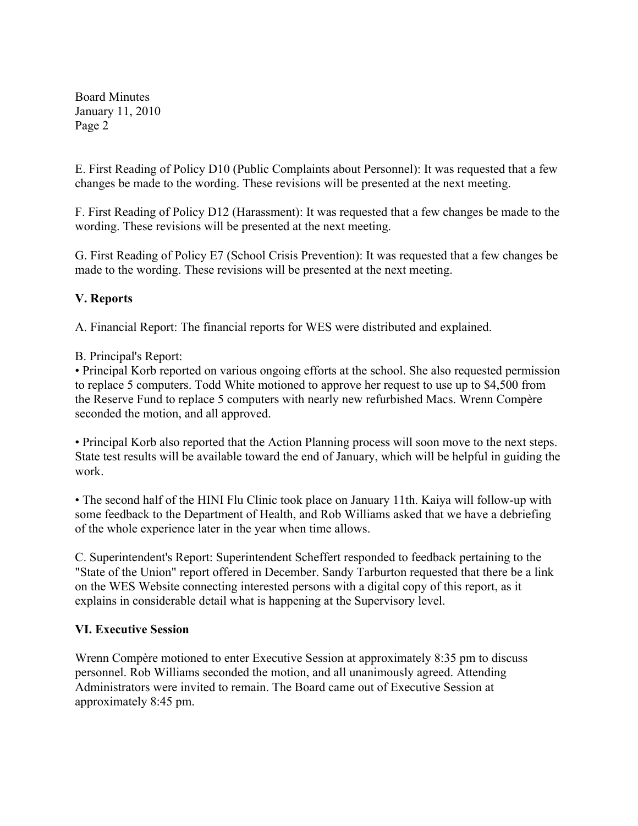Board Minutes January 11, 2010 Page 2

E. First Reading of Policy D10 (Public Complaints about Personnel): It was requested that a few changes be made to the wording. These revisions will be presented at the next meeting.

F. First Reading of Policy D12 (Harassment): It was requested that a few changes be made to the wording. These revisions will be presented at the next meeting.

G. First Reading of Policy E7 (School Crisis Prevention): It was requested that a few changes be made to the wording. These revisions will be presented at the next meeting.

### **V. Reports**

A. Financial Report: The financial reports for WES were distributed and explained.

B. Principal's Report:

• Principal Korb reported on various ongoing efforts at the school. She also requested permission to replace 5 computers. Todd White motioned to approve her request to use up to \$4,500 from the Reserve Fund to replace 5 computers with nearly new refurbished Macs. Wrenn Compère seconded the motion, and all approved.

• Principal Korb also reported that the Action Planning process will soon move to the next steps. State test results will be available toward the end of January, which will be helpful in guiding the work.

• The second half of the HINI Flu Clinic took place on January 11th. Kaiya will follow-up with some feedback to the Department of Health, and Rob Williams asked that we have a debriefing of the whole experience later in the year when time allows.

C. Superintendent's Report: Superintendent Scheffert responded to feedback pertaining to the "State of the Union" report offered in December. Sandy Tarburton requested that there be a link on the WES Website connecting interested persons with a digital copy of this report, as it explains in considerable detail what is happening at the Supervisory level.

### **VI. Executive Session**

Wrenn Compère motioned to enter Executive Session at approximately 8:35 pm to discuss personnel. Rob Williams seconded the motion, and all unanimously agreed. Attending Administrators were invited to remain. The Board came out of Executive Session at approximately 8:45 pm.